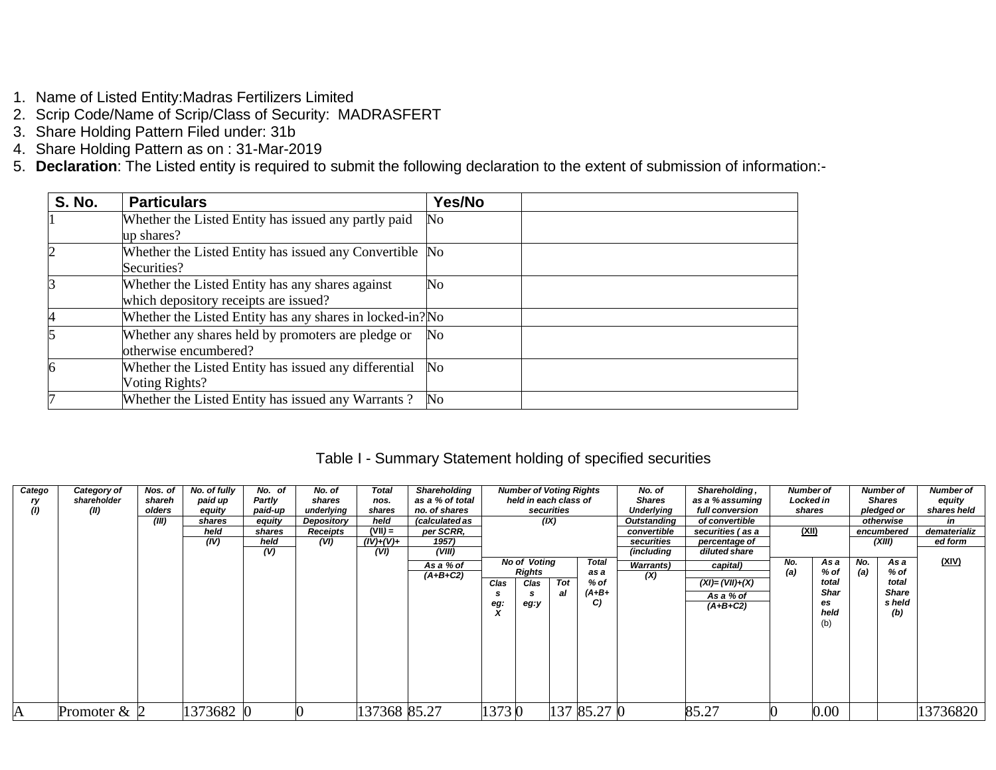- 1. Name of Listed Entity:Madras Fertilizers Limited
- 2. Scrip Code/Name of Scrip/Class of Security: MADRASFERT
- 3. Share Holding Pattern Filed under: 31b
- 4. Share Holding Pattern as on : 31-Mar-2019
- 5. **Declaration**: The Listed entity is required to submit the following declaration to the extent of submission of information:-

| <b>S. No.</b> | <b>Particulars</b>                                        | Yes/No |  |
|---------------|-----------------------------------------------------------|--------|--|
|               | Whether the Listed Entity has issued any partly paid      | No     |  |
|               | up shares?                                                |        |  |
|               | Whether the Listed Entity has issued any Convertible No   |        |  |
|               | Securities?                                               |        |  |
|               | Whether the Listed Entity has any shares against          | No     |  |
|               | which depository receipts are issued?                     |        |  |
|               | Whether the Listed Entity has any shares in locked-in? No |        |  |
|               | Whether any shares held by promoters are pledge or        | No     |  |
|               | otherwise encumbered?                                     |        |  |
| 6             | Whether the Listed Entity has issued any differential     | No.    |  |
|               | Voting Rights?                                            |        |  |
|               | Whether the Listed Entity has issued any Warrants?        | No.    |  |

| Catego<br>ry<br>(1) | Category of<br>shareholder<br>(II) | Nos. of<br>shareh<br>olders<br>(III) | No. of fully<br>paid up<br>equity<br>shares<br>held<br>(IV) | No. of<br>Partly<br>paid-up<br>equity<br>shares<br>held<br>(V) | No. of<br>shares<br>underlying<br>Depository<br><b>Receipts</b><br>(VI) | <b>Total</b><br>nos.<br>shares<br>held<br>$(VII) =$<br>$(IV)+(V)+$<br>(VI) | Shareholding<br>as a % of total<br>no. of shares<br>(calculated as<br>per SCRR,<br>1957)<br>(VIII) |                  | <b>Number of Voting Rights</b><br>held in each class of | securities<br>(IX) |                                               | No. of<br><b>Shares</b><br><b>Underlying</b><br>Outstanding<br>convertible<br>securities<br>(including | Shareholding,<br>as a % assuming<br>full conversion<br>of convertible<br>securities (as a<br>percentage of<br>diluted share | <b>Number of</b><br>Locked in<br>shares<br>(XII) |                                                             |            | <b>Number of</b><br><b>Shares</b><br>pledged or<br>otherwise<br>encumbered<br>(XIII) | <b>Number of</b><br>equity<br>shares held<br>in<br>dematerializ<br>ed form |
|---------------------|------------------------------------|--------------------------------------|-------------------------------------------------------------|----------------------------------------------------------------|-------------------------------------------------------------------------|----------------------------------------------------------------------------|----------------------------------------------------------------------------------------------------|------------------|---------------------------------------------------------|--------------------|-----------------------------------------------|--------------------------------------------------------------------------------------------------------|-----------------------------------------------------------------------------------------------------------------------------|--------------------------------------------------|-------------------------------------------------------------|------------|--------------------------------------------------------------------------------------|----------------------------------------------------------------------------|
|                     |                                    |                                      |                                                             |                                                                |                                                                         |                                                                            | As a % of<br>$(A+B+C2)$                                                                            | Clas<br>eg:<br>ᄉ | <b>No of Voting</b><br>Rights<br>Clas<br>eg:y           | Tot<br>al          | <b>Total</b><br>as a<br>% of<br>$(A+B+$<br>C) | <b>Warrants</b> )<br>(X)                                                                               | capital)<br>$(XI) = (VII)+(X)$<br>As a % of<br>$(A+B+C2)$                                                                   | No.<br>(a)                                       | As a<br>$%$ of<br>total<br><b>Shar</b><br>es<br>held<br>(b) | No.<br>(a) | As a<br>% of<br>total<br><b>Share</b><br>s held<br>(b)                               | (XIV)                                                                      |
| A                   | Promoter $& 2$                     |                                      | 1373682                                                     |                                                                |                                                                         | 137368 85.27                                                               |                                                                                                    | 13730            |                                                         |                    | 137 85.27 0                                   |                                                                                                        | 85.27                                                                                                                       |                                                  | $0.00\,$                                                    |            |                                                                                      | 13736820                                                                   |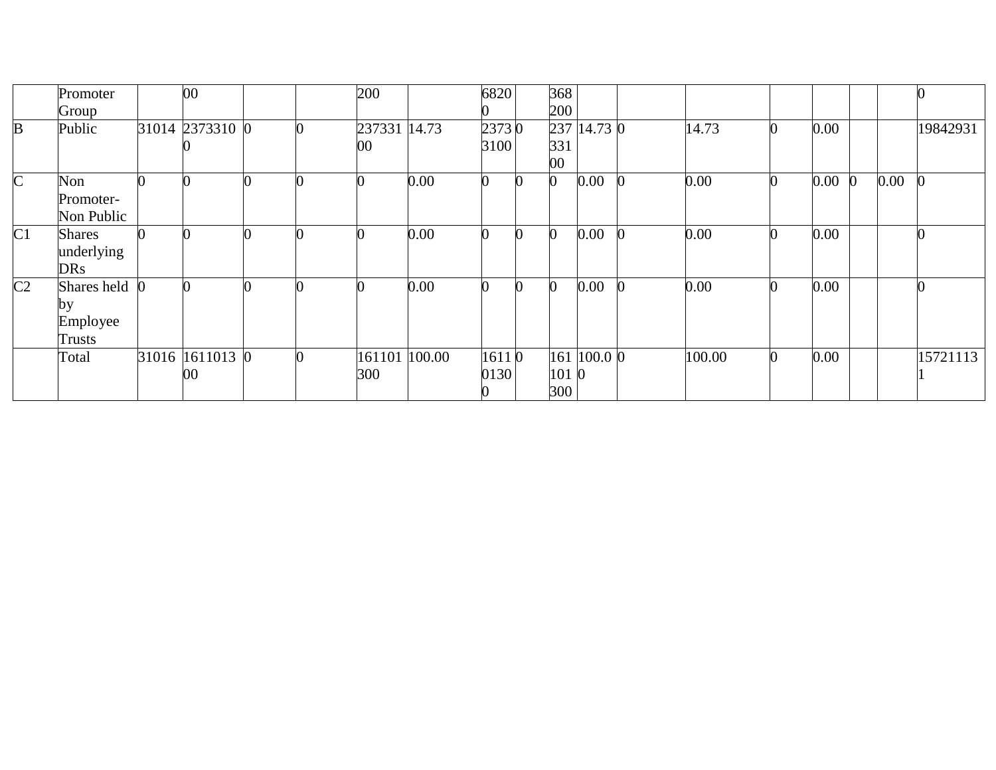|                | Promoter      | $00\,$          |  | 200           |      | 6820  | 368      |             |        |           |      |          |
|----------------|---------------|-----------------|--|---------------|------|-------|----------|-------------|--------|-----------|------|----------|
|                | Group         |                 |  |               |      |       | 200      |             |        |           |      |          |
| B              | Public        | 31014 2373310 0 |  | 237331 14.73  |      | 23730 |          | 237 14.73 0 | 14.73  | 0.00      |      | 19842931 |
|                |               |                 |  | $00\,$        |      | 3100  | 331      |             |        |           |      |          |
|                |               |                 |  |               |      |       | $00\,$   |             |        |           |      |          |
| $\mathsf{C}$   | Non           |                 |  |               | 0.00 |       | 0        | 0.00        | 0.00   | $0.00\ 0$ | 0.00 |          |
|                | Promoter-     |                 |  |               |      |       |          |             |        |           |      |          |
|                | Non Public    |                 |  |               |      |       |          |             |        |           |      |          |
| C <sub>1</sub> | <b>Shares</b> |                 |  |               | 0.00 |       | 0        | 0.00        | 0.00   | 0.00      |      |          |
|                | underlying    |                 |  |               |      |       |          |             |        |           |      |          |
|                | <b>DRs</b>    |                 |  |               |      |       |          |             |        |           |      |          |
| C <sub>2</sub> | Shares held 0 |                 |  |               | 0.00 |       | $\Omega$ | 0.00        | 0.00   | 0.00      |      |          |
|                | by            |                 |  |               |      |       |          |             |        |           |      |          |
|                | Employee      |                 |  |               |      |       |          |             |        |           |      |          |
|                | Trusts        |                 |  |               |      |       |          |             |        |           |      |          |
|                | Total         | 31016 1611013 0 |  | 161101 100.00 |      | 16110 |          | 161 100.0 0 | 100.00 | $0.00\,$  |      | 15721113 |
|                |               | )()             |  | 300           |      | 0130  | 101 0    |             |        |           |      |          |
|                |               |                 |  |               |      |       | 300      |             |        |           |      |          |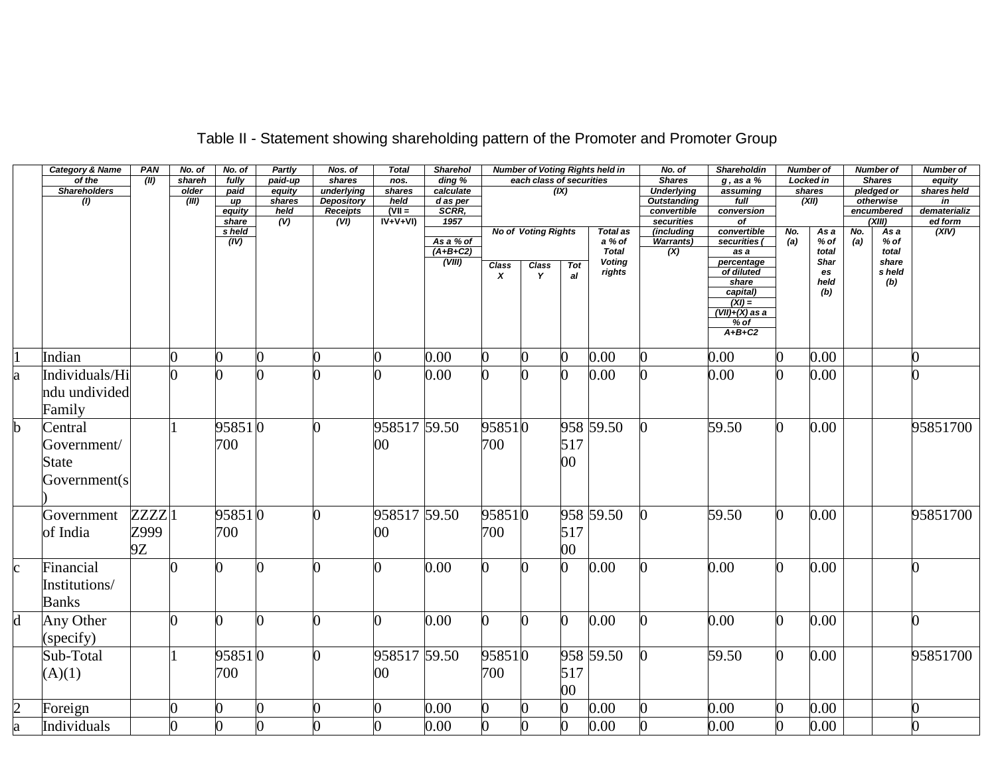|             | <b>Category &amp; Name</b> | PAN               | No. of | No. of          | Partly         | Nos. of                              | <b>Total</b>     | <b>Sharehol</b>     |                  |                            |                | <b>Number of Voting Rights held in</b> | No. of                            | Shareholdin                    |                | <b>Number of</b> |     | <b>Number of</b>        | <b>Number of</b>   |
|-------------|----------------------------|-------------------|--------|-----------------|----------------|--------------------------------------|------------------|---------------------|------------------|----------------------------|----------------|----------------------------------------|-----------------------------------|--------------------------------|----------------|------------------|-----|-------------------------|--------------------|
|             | of the                     | (11)              | shareh | fully           | paid-up        | shares                               | nos.             | ding %              |                  | each class of securities   |                |                                        | <b>Shares</b>                     | $g$ , as a $%$                 |                | Locked in        |     | <b>Shares</b>           | equity             |
|             | <b>Shareholders</b>        |                   | older  | paid            | equity         | underlying                           | shares           | calculate           |                  |                            | (IX)           |                                        | <b>Underlying</b>                 | assuming                       |                | shares           |     | pledged or              | shares held        |
|             | (1)                        |                   | (III)  | up              | shares<br>held | <b>Depository</b><br><b>Receipts</b> | held<br>$(VII =$ | $d$ as per<br>SCRR, |                  |                            |                |                                        | <b>Outstanding</b><br>convertible | full<br>conversion             |                | (XII)            |     | otherwise<br>encumbered | in<br>dematerializ |
|             |                            |                   |        | equity<br>share | (V)            | (W)                                  | $IV+V+VI$        | 1957                |                  |                            |                |                                        | securities                        | $\overline{of}$                |                |                  |     | (XIII                   | ed form            |
|             |                            |                   |        | s held          |                |                                      |                  |                     |                  | <b>No of Voting Rights</b> |                | <b>Total as</b>                        | (including                        | convertible                    | No.            | As a             | No. | As a                    | (XIV)              |
|             |                            |                   |        | (IV)            |                |                                      |                  | As a % of           |                  |                            |                | a % of                                 | <b>Warrants)</b>                  | securities (                   | (a)            | $%$ of           | (a) | $%$ of                  |                    |
|             |                            |                   |        |                 |                |                                      |                  | $(A+B+C2)$          |                  |                            |                | <b>Total</b>                           | (X)                               | as a                           |                | total            |     | total                   |                    |
|             |                            |                   |        |                 |                |                                      |                  | (VIII)              | <b>Class</b>     | Class                      | <b>Tot</b>     | <b>Voting</b>                          |                                   | percentage<br>of diluted       |                | <b>Shar</b>      |     | share                   |                    |
|             |                            |                   |        |                 |                |                                      |                  |                     | $\boldsymbol{x}$ | Y                          | al             | rights                                 |                                   | share                          |                | es<br>held       |     | s held<br>(b)           |                    |
|             |                            |                   |        |                 |                |                                      |                  |                     |                  |                            |                |                                        |                                   | capital)                       |                | (b)              |     |                         |                    |
|             |                            |                   |        |                 |                |                                      |                  |                     |                  |                            |                |                                        |                                   | $(XI) =$                       |                |                  |     |                         |                    |
|             |                            |                   |        |                 |                |                                      |                  |                     |                  |                            |                |                                        |                                   | $\overline{(VII)+(X)}$ as a    |                |                  |     |                         |                    |
|             |                            |                   |        |                 |                |                                      |                  |                     |                  |                            |                |                                        |                                   | $\frac{\% \text{ of}}{A+B+C2}$ |                |                  |     |                         |                    |
|             |                            |                   |        |                 |                |                                      |                  |                     |                  |                            |                |                                        |                                   |                                |                |                  |     |                         |                    |
|             | Indian                     |                   | 0      | $\overline{0}$  | 0              |                                      | 0                | 0.00                |                  |                            | $\bf{0}$       | 0.00                                   |                                   | 0.00                           |                | 0.00             |     |                         | 0                  |
| la          | Individuals/Hi             |                   | O      |                 |                |                                      |                  | 0.00                |                  |                            | $\overline{0}$ | 0.00                                   |                                   | 0.00                           | 0              | 0.00             |     |                         |                    |
|             | ndu undivided              |                   |        |                 |                |                                      |                  |                     |                  |                            |                |                                        |                                   |                                |                |                  |     |                         |                    |
|             |                            |                   |        |                 |                |                                      |                  |                     |                  |                            |                |                                        |                                   |                                |                |                  |     |                         |                    |
|             | Family                     |                   |        |                 |                |                                      |                  |                     |                  |                            |                |                                        |                                   |                                |                |                  |     |                         |                    |
| h           | Central                    |                   |        | 958510          |                |                                      | 958517 59.50     |                     | 958510           |                            |                | 958 59.50                              |                                   | 59.50                          | $\overline{0}$ | 0.00             |     |                         | 95851700           |
|             | Government/                |                   |        | 700             |                |                                      | 00               |                     | 700              |                            | 517            |                                        |                                   |                                |                |                  |     |                         |                    |
|             |                            |                   |        |                 |                |                                      |                  |                     |                  |                            |                |                                        |                                   |                                |                |                  |     |                         |                    |
|             | State                      |                   |        |                 |                |                                      |                  |                     |                  |                            | 00             |                                        |                                   |                                |                |                  |     |                         |                    |
|             | Government(s               |                   |        |                 |                |                                      |                  |                     |                  |                            |                |                                        |                                   |                                |                |                  |     |                         |                    |
|             |                            |                   |        |                 |                |                                      |                  |                     |                  |                            |                |                                        |                                   |                                |                |                  |     |                         |                    |
|             | Government                 | ZZZZ <sup>1</sup> |        | 958510          |                |                                      | 958517 59.50     |                     | 958510           |                            |                | 958 59.50                              |                                   | 59.50                          | n              | 0.00             |     |                         | 95851700           |
|             |                            |                   |        |                 |                |                                      |                  |                     |                  |                            |                |                                        |                                   |                                |                |                  |     |                         |                    |
|             | of India                   | Z999              |        | 700             |                |                                      | 00               |                     | 700              |                            | 517            |                                        |                                   |                                |                |                  |     |                         |                    |
|             |                            | 9Z                |        |                 |                |                                      |                  |                     |                  |                            | 00             |                                        |                                   |                                |                |                  |     |                         |                    |
|             | Financial                  |                   |        | 0               |                |                                      | O.               | 0.00                |                  |                            |                | 0.00                                   |                                   | 0.00                           | n.             | 0.00             |     |                         | O.                 |
|             | Institutions/              |                   |        |                 |                |                                      |                  |                     |                  |                            |                |                                        |                                   |                                |                |                  |     |                         |                    |
|             |                            |                   |        |                 |                |                                      |                  |                     |                  |                            |                |                                        |                                   |                                |                |                  |     |                         |                    |
|             | <b>Banks</b>               |                   |        |                 |                |                                      |                  |                     |                  |                            |                |                                        |                                   |                                |                |                  |     |                         |                    |
| $\mathbf d$ | Any Other                  |                   | ∩      | $\Omega$        | ∩              |                                      | <sup>o</sup>     | 0.00                |                  |                            | $\overline{0}$ | 0.00                                   |                                   | 0.00                           | 0              | 0.00             |     |                         | $\overline{0}$     |
|             | (specify)                  |                   |        |                 |                |                                      |                  |                     |                  |                            |                |                                        |                                   |                                |                |                  |     |                         |                    |
|             | Sub-Total                  |                   |        | 958510          |                |                                      | 958517 59.50     |                     | 958510           |                            |                | 958 59.50                              |                                   | 59.50                          | O.             | 0.00             |     |                         | 95851700           |
|             | (A)(1)                     |                   |        | 700             |                |                                      | 00               |                     | 700              |                            | 517            |                                        |                                   |                                |                |                  |     |                         |                    |
|             |                            |                   |        |                 |                |                                      |                  |                     |                  |                            | 00             |                                        |                                   |                                |                |                  |     |                         |                    |
| 12          | Foreign                    |                   |        | $\bf{0}$        |                |                                      | 0                | 0.00                |                  |                            | 0              | 0.00                                   |                                   | 0.00                           |                | 0.00             |     |                         | 0                  |
|             | Individuals                |                   |        | $\overline{0}$  | 0              |                                      | 0                | 0.00                |                  |                            |                | 0.00                                   |                                   | 0.00                           | $\overline{0}$ | 0.00             |     |                         | 0                  |
| a           |                            |                   |        |                 |                |                                      |                  |                     |                  |                            |                |                                        |                                   |                                |                |                  |     |                         |                    |

## Table II - Statement showing shareholding pattern of the Promoter and Promoter Group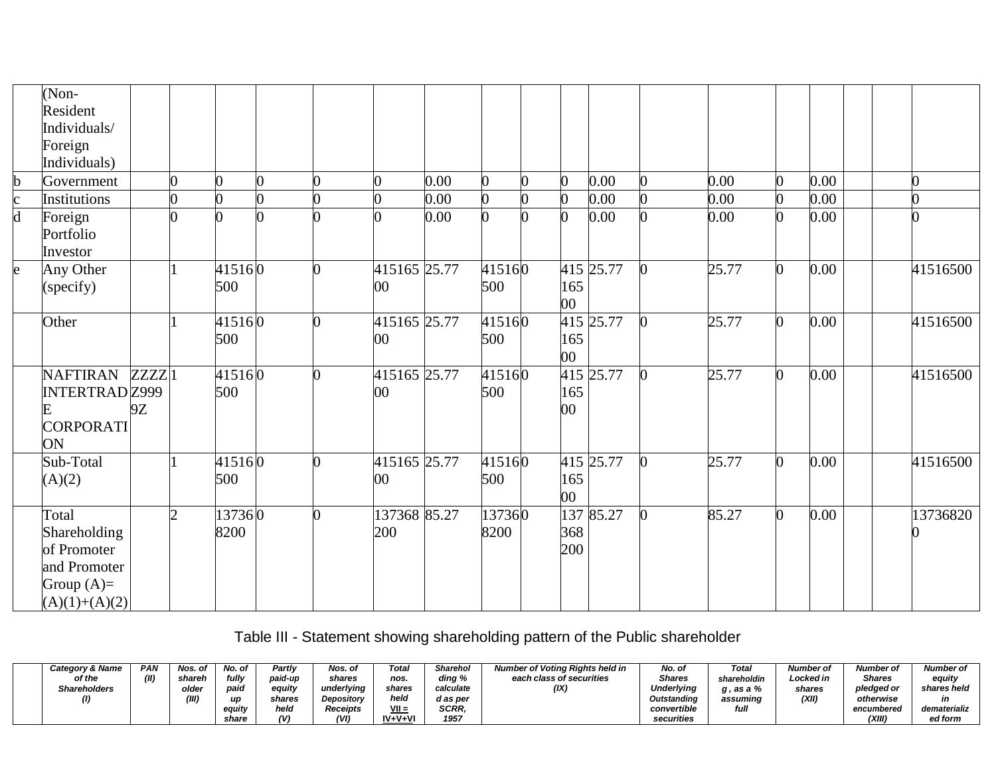|              | (Non-<br>Resident<br>Individuals/<br>Foreign<br>Individuals)                            |    |                |                |          |                     |      |                |   |               |                        |          |       |      |  |          |
|--------------|-----------------------------------------------------------------------------------------|----|----------------|----------------|----------|---------------------|------|----------------|---|---------------|------------------------|----------|-------|------|--|----------|
| $\mathbf{b}$ | Government                                                                              |    | $\overline{0}$ | $\overline{0}$ |          |                     | 0.00 | 0              |   |               | 0.00                   |          | 0.00  | 0.00 |  |          |
|              | Institutions                                                                            |    | 0              | 0              |          |                     | 0.00 | ∩              |   |               | 0.00                   |          | 0.00  | 0.00 |  |          |
| $rac{c}{d}$  | Foreign<br>Portfolio<br>Investor                                                        |    | $\overline{0}$ | $\overline{0}$ |          |                     | 0.00 | 0              | U | n             | 0.00                   |          | 0.00  | 0.00 |  |          |
| $\mathbf{e}$ | Any Other<br>(specify)                                                                  |    |                | 415160<br>500  | O        | 415165 25.77<br>00  |      | 415160<br>500  |   | 165<br>$00\,$ | $41\overline{5}$ 25.77 | 0        | 25.77 | 0.00 |  | 41516500 |
|              | Other                                                                                   |    |                | 415160<br>500  | $\Omega$ | 415165 25.77<br>00  |      | 415160<br>500  |   | 165<br>00     | 415 25.77              |          | 25.77 | 0.00 |  | 41516500 |
|              | NAFTIRAN ZZZZ <sup>1</sup><br><b>INTERTRADZ999</b><br><b>CORPORATI</b><br>ON            | 9Ζ |                | 415160<br>500  |          | 415165 25.77<br>00  |      | 415160<br>500  |   | 165<br>$00\,$ | 415 25.77              |          | 25.77 | 0.00 |  | 41516500 |
|              | Sub-Total<br>(A)(2)                                                                     |    |                | 415160<br>500  | 0        | 415165 25.77<br>00  |      | 415160<br>500  |   | 165<br>$00\,$ | 415 25.77              | $\Omega$ | 25.77 | 0.00 |  | 41516500 |
|              | Total<br>Shareholding<br>of Promoter<br>and Promoter<br>Group $(A)=$<br>$(A)(1)+(A)(2)$ |    | റ              | 137360<br>8200 | $\Omega$ | 137368 85.27<br>200 |      | 137360<br>8200 |   | 368<br>200    | 137 85.27              |          | 85.27 | 0.00 |  | 13736820 |

Table III - Statement showing shareholding pattern of the Public shareholder

| <b>Category &amp; Name</b> | PAN  | Nos. of | No. of | Partly   | Nos. of    | Tota         | <b>Sharehol</b> | Number of Voting Rights held in | No. of            | Total          | Number of | Number of  | Number of    |
|----------------------------|------|---------|--------|----------|------------|--------------|-----------------|---------------------------------|-------------------|----------------|-----------|------------|--------------|
| of the                     | (II) | shareh  | fullv  | paid-up  | shares     | nos.         | ding %          | each class of securities        | <b>Shares</b>     | shareholdin    | Locked in | Shares     | equity       |
| <b>Shareholders</b>        |      | older   | paid   | equity   | underlying | shares       | calculate       | (IX)                            | <b>Underlying</b> | $q$ , as a $%$ | shares    | pledged or | shares held  |
|                            |      | (III)   | UD     | shares   | Depository | held         | d as per        |                                 | Outstanding       | assuming       | (XII)     | otherwise  |              |
|                            |      |         | equity | hela     | Receipts   | <u>VII =</u> | SCRR.           |                                 | convertible       | full           |           | encumbered | dematerializ |
|                            |      |         | share  | $\alpha$ | (VI)       | $IV+V+VI$    | 1957            |                                 | securities        |                |           | (XIII)     | ed form      |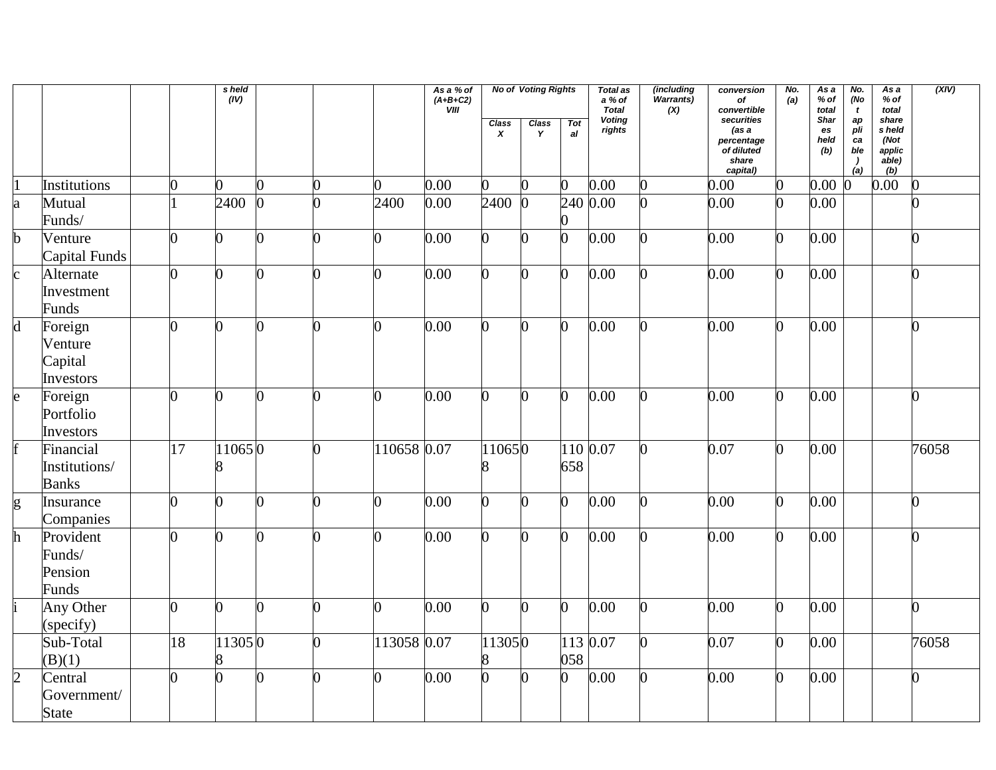|                |                                                |                 | s held<br>(IV) |    |          |                | As a % of<br>$(A+B+C2)$<br>VIII |                           | <b>No of Voting Rights</b> |           | <b>Total as</b><br>a % of<br><b>Total</b> | (including<br>Warrants)<br>(X) | conversion<br>of<br>convertible                                      | No.<br>(a)     | As a<br>% of<br>total            | No.<br>(No<br>$\mathbf{t}$                 | As a<br>$%$ of<br>total                           | (XIV)          |
|----------------|------------------------------------------------|-----------------|----------------|----|----------|----------------|---------------------------------|---------------------------|----------------------------|-----------|-------------------------------------------|--------------------------------|----------------------------------------------------------------------|----------------|----------------------------------|--------------------------------------------|---------------------------------------------------|----------------|
|                |                                                |                 |                |    |          |                |                                 | Class<br>$\boldsymbol{x}$ | Class<br>Y                 | Tot<br>al | <b>Voting</b><br>rights                   |                                | securities<br>(as a<br>percentage<br>of diluted<br>share<br>capital) |                | <b>Shar</b><br>es<br>held<br>(b) | ap<br>pli<br>ca<br>ble<br>$\lambda$<br>(a) | share<br>s held<br>(Not<br>applic<br>able)<br>(b) |                |
|                | Institutions                                   | O               | 0              |    | $\Omega$ |                | 0.00                            | $\overline{0}$            |                            | 0         | 0.00                                      |                                | 0.00                                                                 |                | 0.00                             | $\bf{0}$                                   | 0.00                                              |                |
| а              | Mutual<br>Funds/                               |                 | 2400           |    | $\cap$   | 2400           | 0.00                            | 2400                      |                            |           | 240 0.00                                  |                                | 0.00                                                                 | O              | 0.00                             |                                            |                                                   |                |
| $\mathbf b$    | Venture<br>Capital Funds                       | O               | $\Omega$       |    | 0        | 0              | 0.00                            | 0                         |                            | 0         | 0.00                                      |                                | 0.00                                                                 | 0              | 0.00                             |                                            |                                                   | U              |
| C.             | Alternate<br>Investment<br>Funds               | 0               | 0              |    | 0        | 0              | 0.00                            | 0                         |                            | 0         | 0.00                                      |                                | 0.00                                                                 |                | 0.00                             |                                            |                                                   | 0              |
| $\mathbf d$    | Foreign<br>Venture<br>Capital<br>Investors     | $\overline{0}$  | $\overline{0}$ |    | 0        | $\overline{0}$ | 0.00                            | 0                         | b                          | 0         | 0.00                                      |                                | 0.00                                                                 | 0              | 0.00                             |                                            |                                                   | $\overline{0}$ |
| e              | Foreign<br>Portfolio<br>Investors              | O               | 0              | 0  | 0        | 0              | 0.00                            | O.                        | n                          | O.        | 0.00                                      |                                | 0.00                                                                 | 0              | 0.00                             |                                            |                                                   | 0              |
| f              | Financial<br>Institutions/<br><b>Banks</b>     | $\overline{17}$ | 110650         |    | O        | 110658 0.07    |                                 | 110650                    |                            | 658       | 110 0.07                                  |                                | 0.07                                                                 | 0              | 0.00                             |                                            |                                                   | 76058          |
| g              | Insurance<br>Companies                         | 0               | $\overline{0}$ |    | O        | O.             | 0.00                            | 0                         | n                          | 0         | 0.00                                      |                                | 0.00                                                                 | U              | 0.00                             |                                            |                                                   | 0              |
| h              | Provident<br>Funds/<br>Pension<br><b>Funds</b> | $\overline{0}$  | $\overline{0}$ | ∩  | $\Omega$ | O.             | 0.00                            | $\overline{0}$            | n                          | $\Omega$  | 0.00                                      |                                | 0.00                                                                 | $\overline{0}$ | 0.00                             |                                            |                                                   | 0              |
|                | Any Other<br>(specify)                         | O               | 0              |    | 0        | O.             | 0.00                            | 0                         | ∩                          | O.        | 0.00                                      |                                | 0.00                                                                 | 0              | 0.00                             |                                            |                                                   | $\overline{0}$ |
|                | Sub-Total<br>(B)(1)                            | 18              | 113050<br>8    |    | 0        | 113058 0.07    |                                 | 113050<br>8               |                            | 058       | 113 0.07                                  |                                | 0.07                                                                 | O              | 0.00                             |                                            |                                                   | 76058          |
| $\overline{2}$ | Central<br>Government/<br><b>State</b>         | 0               | $\Omega$       | O. | 0        | 0              | 0.00                            | $\overline{0}$            | 0                          | 0         | 0.00                                      |                                | 0.00                                                                 | 0              | 0.00                             |                                            |                                                   | $\overline{0}$ |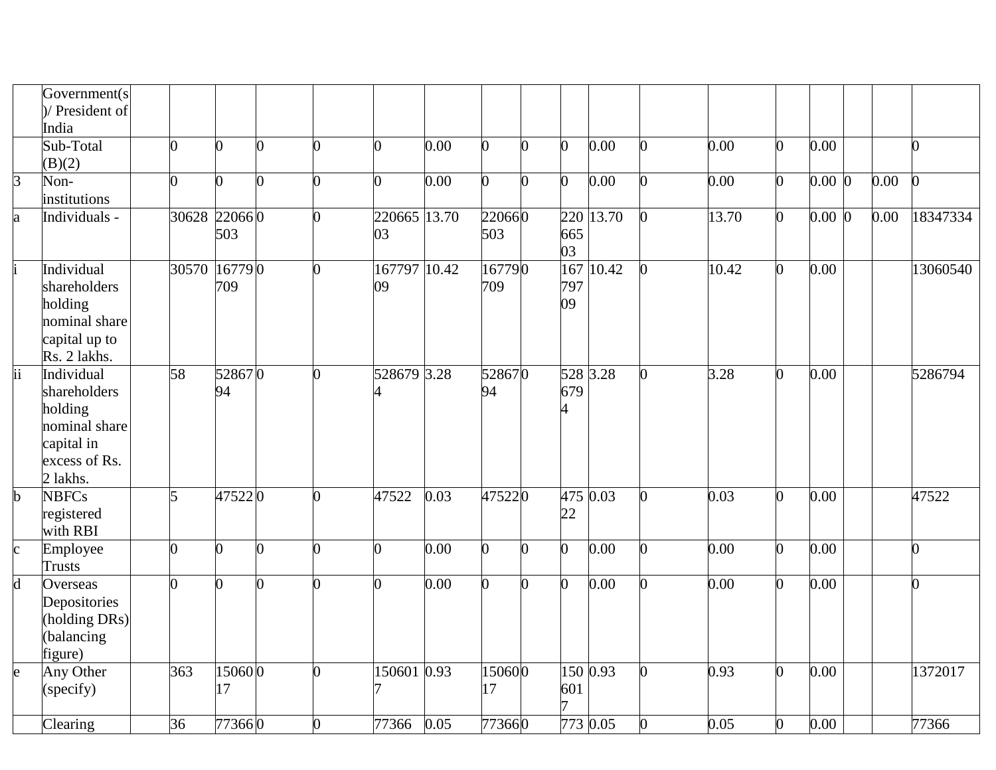|                 | Government(s)<br>)/ President of                                                                  |                |                |   |                |                    |      |                |              |                               |           |                |       |                |           |      |                |
|-----------------|---------------------------------------------------------------------------------------------------|----------------|----------------|---|----------------|--------------------|------|----------------|--------------|-------------------------------|-----------|----------------|-------|----------------|-----------|------|----------------|
|                 | India                                                                                             |                |                |   |                |                    |      |                |              |                               |           |                |       |                |           |      |                |
|                 | Sub-Total                                                                                         | $\overline{0}$ | $\Omega$       |   | $\Omega$       | $\Omega$           | 0.00 | 0              | 0            | 0                             | 0.00      |                | 0.00  | 0              | 0.00      |      |                |
|                 | (B)(2)                                                                                            |                |                |   |                |                    |      |                |              |                               |           |                |       |                |           |      |                |
| $\overline{3}$  | Non-<br>institutions                                                                              | $\Omega$       | $\Omega$       |   | 0              |                    | 0.00 | $\overline{0}$ | O            | $\overline{0}$                | 0.00      | 0              | 0.00  |                | 0.00 0    | 0.00 |                |
| a               | Individuals -                                                                                     | 30628 22066 0  | 503            |   | $\overline{0}$ | 220665 13.70<br>03 |      | 220660<br>503  |              | 665<br>03                     | 220 13.70 | $\mathbf{0}$   | 13.70 |                | $0.00\,0$ | 0.00 | 18347334       |
|                 | Individual<br>shareholders<br>holding<br>nominal share<br>capital up to<br>Rs. 2 lakhs.           | 30570 16779 0  | 709            |   | 0              | 167797 10.42<br>09 |      | 167790<br>709  |              | $\overline{167}$<br>797<br>09 | 10.42     | $\mathbf{0}$   | 10.42 |                | 0.00      |      | 13060540       |
| $\overline{ii}$ | Individual<br>shareholders<br>holding<br>nominal share<br>capital in<br>excess of Rs.<br>2 lakhs. | 58             | 528670<br>94   |   | 0              | 528679 3.28        |      | 528670<br>94   |              | 679                           | 528 3.28  | $\overline{0}$ | 3.28  | 0              | 0.00      |      | 5286794        |
| $\mathbf b$     | <b>NBFCs</b><br>registered<br>with RBI                                                            | 5              | 475220         |   | 0              | 47522              | 0.03 | 475220         |              | 22                            | 475 0.03  |                | 0.03  |                | 0.00      |      | 47522          |
| $\mathbf{c}$    | Employee<br>Trusts                                                                                | $\overline{0}$ | $\overline{0}$ | U | $\Omega$       | $\Omega$           | 0.00 | $\Omega$       | <sub>0</sub> | $\Omega$                      | 0.00      | 0              | 0.00  | $\overline{0}$ | 0.00      |      | $\overline{0}$ |
| $\mathsf{d}$    | Overseas<br>Depositories<br>(holding DRs)<br>(balancing<br>figure)                                | $\overline{0}$ | $\overline{0}$ |   | 0              | 0                  | 0.00 | 0              | 0            | 0                             | 0.00      |                | 0.00  | ∩              | 0.00      |      |                |
| $\mathbf{e}$    | Any Other<br>(specify)                                                                            | 363            | 150600<br>17   |   | 0              | 150601 0.93        |      | 150600<br>17   |              | 601                           | 150 0.93  | O.             | 0.93  |                | 0.00      |      | 1372017        |
|                 | Clearing                                                                                          | 36             | 773660         |   | $\overline{0}$ | 77366              | 0.05 | 773660         |              |                               | 773 0.05  |                | 0.05  | 0              | 0.00      |      | 77366          |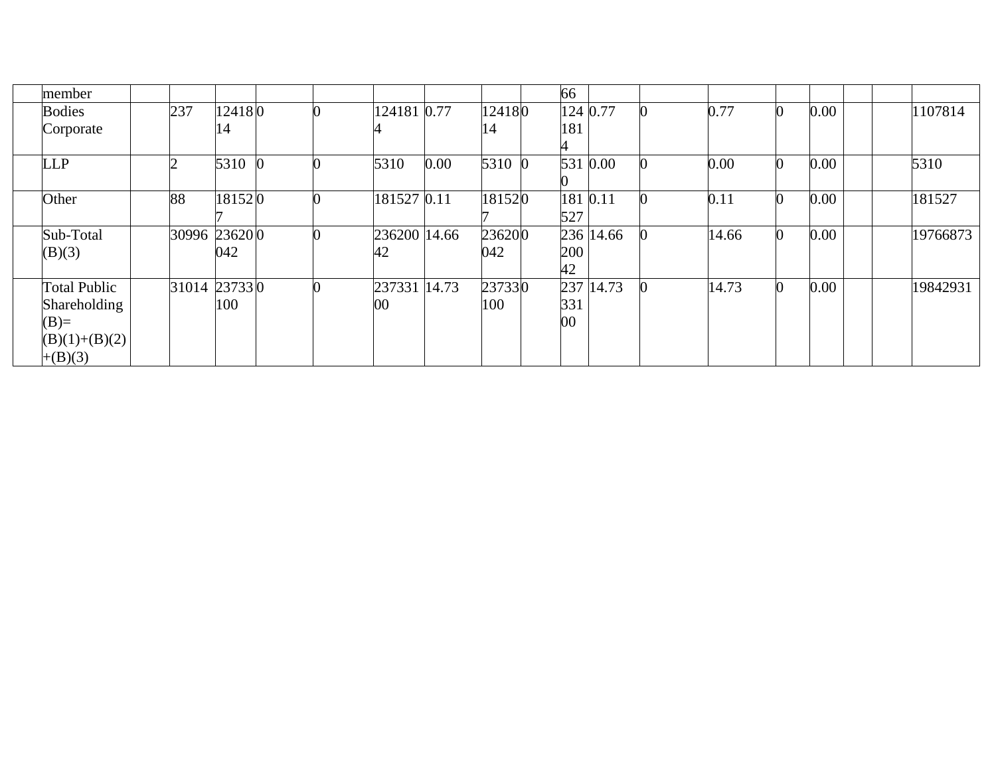| member                                                                        |     |                      |                    |                    | 66              |           |   |       |      |          |
|-------------------------------------------------------------------------------|-----|----------------------|--------------------|--------------------|-----------------|-----------|---|-------|------|----------|
| <b>Bodies</b>                                                                 | 237 | 124180               | 124181 0.77        | 124180             |                 | 124 0.77  |   | 0.77  | 0.00 | 1107814  |
| Corporate                                                                     |     | 14                   |                    | 14                 | 181             |           |   |       |      |          |
| <b>LLP</b>                                                                    |     | 5310                 | 5310               | 5310 0<br>$0.00\,$ |                 | 531 0.00  |   | 0.00  | 0.00 | 5310     |
| Other                                                                         | 88  | 181520               | 181527 0.11        | 181520             | 181 0.11<br>527 |           | 0 | 0.11  | 0.00 | 181527   |
| Sub-Total<br>(B)(3)                                                           |     | 30996 23620 0<br>042 | 236200 14.66<br>42 | 236200<br>042      | 200<br>42       | 236 14.66 |   | 14.66 | 0.00 | 19766873 |
| <b>Total Public</b><br>Shareholding<br>$(B)=$<br>$(B)(1)+(B)(2)$<br>$+(B)(3)$ |     | 31014 23733 0<br>100 | 237331 14.73<br>00 | 237330<br>100      | 331<br>$00\,$   | 237 14.73 |   | 14.73 | 0.00 | 19842931 |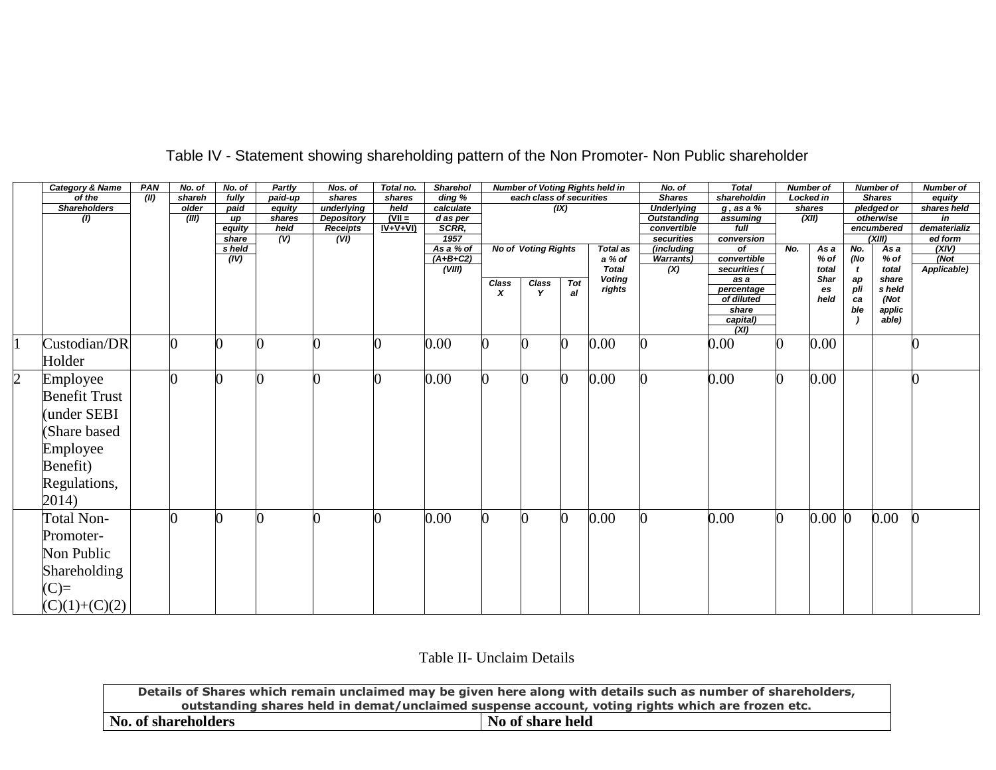|                | <b>Category &amp; Name</b> | PAN  | No. of | No. of          | <b>Partly</b> | Nos. of           | Total no. | <b>Sharehol</b>     |            |                            |           | <b>Number of Voting Rights held in</b> | No. of                   | <b>Total</b>     |     | <b>Number of</b> |            | <b>Number of</b> | <b>Number of</b> |
|----------------|----------------------------|------|--------|-----------------|---------------|-------------------|-----------|---------------------|------------|----------------------------|-----------|----------------------------------------|--------------------------|------------------|-----|------------------|------------|------------------|------------------|
|                | of the                     | (11) | shareh | fully           | paid-up       | shares            | shares    | $\overline{ding}$ % |            | each class of securities   |           |                                        | <b>Shares</b>            | shareholdin      |     | <b>Locked in</b> |            | <b>Shares</b>    | equity           |
|                | <b>Shareholders</b>        |      | older  | paid            | equity        | underlying        | held      | calculate           |            |                            | (IX)      |                                        | <b>Underlying</b>        | $g$ , as a $%$   |     | shares           |            | pledged or       | shares held      |
|                | $\left( I\right)$          |      | (III)  | up              | shares        | <b>Depository</b> | $(VII =$  | d as per            |            |                            |           |                                        | <b>Outstanding</b>       | assuming         |     | (XII)            |            | otherwise        | in               |
|                |                            |      |        | equity          | held          | <b>Receipts</b>   | $IV+V+VI$ | SCRR,               |            |                            |           |                                        | convertible              | full             |     |                  |            | encumbered       | dematerializ     |
|                |                            |      |        | share<br>s held | (V)           | (VI)              |           | 1957<br>As a % of   |            |                            |           |                                        | securities<br>(including | conversion<br>of | No. | Asa              |            | (XIII)           | ed form          |
|                |                            |      |        | (IV)            |               |                   |           | $(A+B+C2)$          |            | <b>No of Voting Rights</b> |           | <b>Total as</b><br>a % of              | <b>Warrants</b> )        | convertible      |     | % of             | No.<br>(No | As a<br>$%$ of   | (XIV)<br>(Not)   |
|                |                            |      |        |                 |               |                   |           | (VIII)              |            |                            |           | <b>Total</b>                           | (X)                      | securities (     |     | total            | t          | total            | Applicable)      |
|                |                            |      |        |                 |               |                   |           |                     |            | <b>Class</b>               |           | <b>Voting</b>                          |                          | as a             |     | <b>Shar</b>      | ap         | share            |                  |
|                |                            |      |        |                 |               |                   |           |                     | Class<br>x | Y                          | Tot<br>al | rights                                 |                          | percentage       |     | es               | pli        | s held           |                  |
|                |                            |      |        |                 |               |                   |           |                     |            |                            |           |                                        |                          | of diluted       |     | held             | ca         | (Not             |                  |
|                |                            |      |        |                 |               |                   |           |                     |            |                            |           |                                        |                          | share            |     |                  | ble        | applic           |                  |
|                |                            |      |        |                 |               |                   |           |                     |            |                            |           |                                        |                          | capital)         |     |                  |            | able)            |                  |
|                |                            |      |        |                 |               |                   |           |                     |            |                            |           |                                        |                          | (XI)             |     |                  |            |                  |                  |
|                | Custodian/DR               |      |        |                 |               |                   |           | 0.00                | 0          |                            |           | 0.00                                   |                          | 0.00             |     | 0.00             |            |                  |                  |
|                | Holder                     |      |        |                 |               |                   |           |                     |            |                            |           |                                        |                          |                  |     |                  |            |                  |                  |
|                |                            |      |        |                 |               |                   |           |                     |            |                            |           |                                        |                          |                  |     |                  |            |                  |                  |
| $\overline{2}$ | Employee                   |      |        |                 |               |                   |           | 0.00                |            |                            |           | 0.00                                   |                          | 0.00             |     | $0.00\,$         |            |                  |                  |
|                | <b>Benefit Trust</b>       |      |        |                 |               |                   |           |                     |            |                            |           |                                        |                          |                  |     |                  |            |                  |                  |
|                |                            |      |        |                 |               |                   |           |                     |            |                            |           |                                        |                          |                  |     |                  |            |                  |                  |
|                | (under SEBI                |      |        |                 |               |                   |           |                     |            |                            |           |                                        |                          |                  |     |                  |            |                  |                  |
|                | (Share based               |      |        |                 |               |                   |           |                     |            |                            |           |                                        |                          |                  |     |                  |            |                  |                  |
|                |                            |      |        |                 |               |                   |           |                     |            |                            |           |                                        |                          |                  |     |                  |            |                  |                  |
|                | Employee                   |      |        |                 |               |                   |           |                     |            |                            |           |                                        |                          |                  |     |                  |            |                  |                  |
|                | Benefit)                   |      |        |                 |               |                   |           |                     |            |                            |           |                                        |                          |                  |     |                  |            |                  |                  |
|                |                            |      |        |                 |               |                   |           |                     |            |                            |           |                                        |                          |                  |     |                  |            |                  |                  |
|                | Regulations,               |      |        |                 |               |                   |           |                     |            |                            |           |                                        |                          |                  |     |                  |            |                  |                  |
|                | 2014)                      |      |        |                 |               |                   |           |                     |            |                            |           |                                        |                          |                  |     |                  |            |                  |                  |
|                | <b>Total Non-</b>          |      |        |                 |               |                   |           | 0.00                | 0          |                            |           | 0.00                                   |                          | 0.00             | 0   | $0.00\,0$        |            | $0.00\,$         |                  |
|                |                            |      |        |                 |               |                   |           |                     |            |                            |           |                                        |                          |                  |     |                  |            |                  |                  |
|                | Promoter-                  |      |        |                 |               |                   |           |                     |            |                            |           |                                        |                          |                  |     |                  |            |                  |                  |
|                | Non Public                 |      |        |                 |               |                   |           |                     |            |                            |           |                                        |                          |                  |     |                  |            |                  |                  |
|                |                            |      |        |                 |               |                   |           |                     |            |                            |           |                                        |                          |                  |     |                  |            |                  |                  |
|                | Shareholding               |      |        |                 |               |                   |           |                     |            |                            |           |                                        |                          |                  |     |                  |            |                  |                  |
|                | $(C)=$                     |      |        |                 |               |                   |           |                     |            |                            |           |                                        |                          |                  |     |                  |            |                  |                  |
|                | $(C)(1)+(C)(2)$            |      |        |                 |               |                   |           |                     |            |                            |           |                                        |                          |                  |     |                  |            |                  |                  |
|                |                            |      |        |                 |               |                   |           |                     |            |                            |           |                                        |                          |                  |     |                  |            |                  |                  |

## Table IV - Statement showing shareholding pattern of the Non Promoter- Non Public shareholder

Table II- Unclaim Details

|                            | Details of Shares which remain unclaimed may be given here along with details such as number of shareholders, |
|----------------------------|---------------------------------------------------------------------------------------------------------------|
|                            | outstanding shares held in demat/unclaimed suspense account, voting rights which are frozen etc.              |
| <b>No. of shareholders</b> | No of share held                                                                                              |